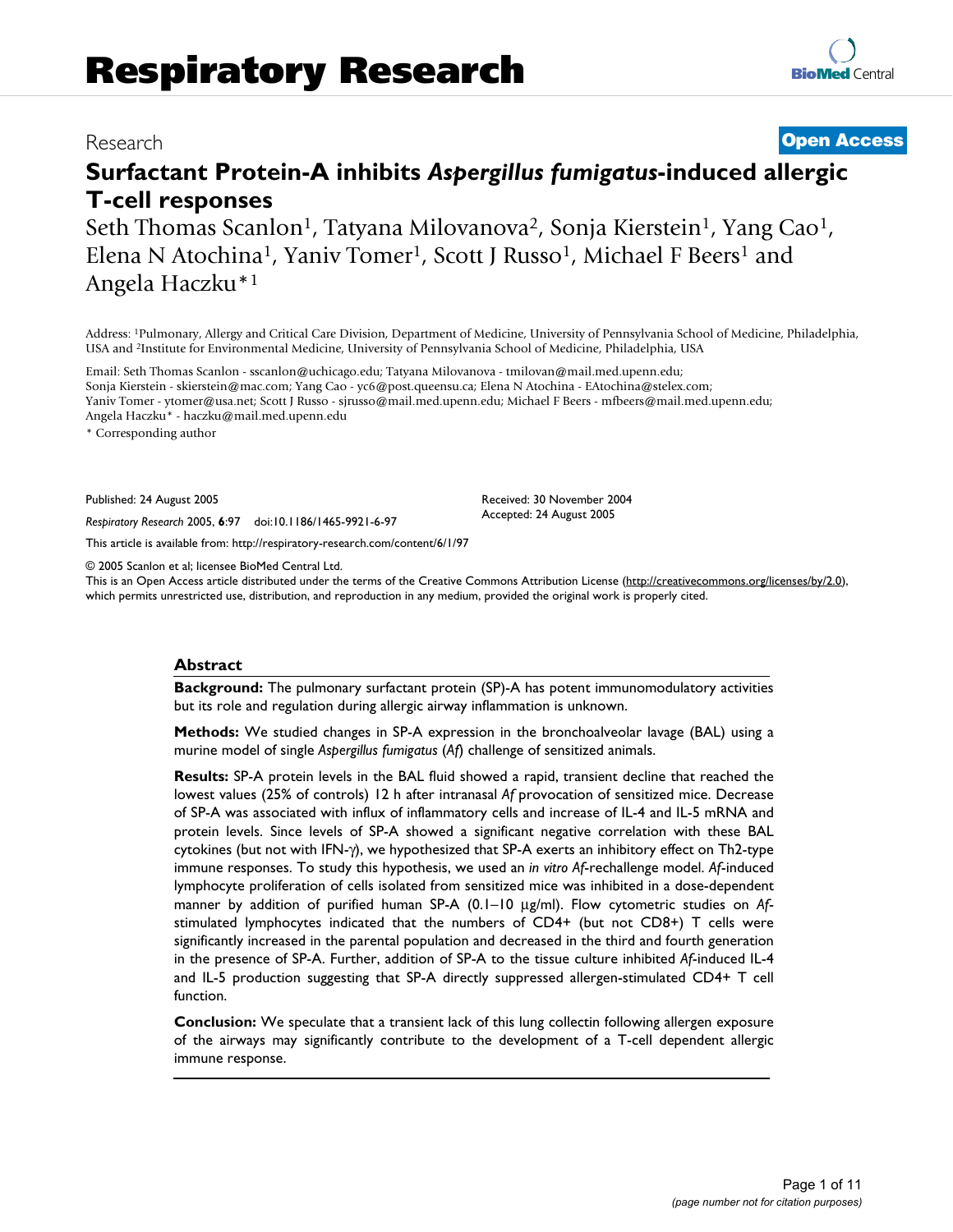# Research **[Open Access](http://www.biomedcentral.com/info/about/charter/)**

# **Surfactant Protein-A inhibits** *Aspergillus fumigatus***-induced allergic T-cell responses**

Seth Thomas Scanlon<sup>1</sup>, Tatyana Milovanova<sup>2</sup>, Sonja Kierstein<sup>1</sup>, Yang Cao<sup>1</sup>, Elena N Atochina<sup>1</sup>, Yaniv Tomer<sup>1</sup>, Scott J Russo<sup>1</sup>, Michael F Beers<sup>1</sup> and Angela Haczku\*1

Address: 1Pulmonary, Allergy and Critical Care Division, Department of Medicine, University of Pennsylvania School of Medicine, Philadelphia, USA and 2Institute for Environmental Medicine, University of Pennsylvania School of Medicine, Philadelphia, USA

Email: Seth Thomas Scanlon - sscanlon@uchicago.edu; Tatyana Milovanova - tmilovan@mail.med.upenn.edu; Sonja Kierstein - skierstein@mac.com; Yang Cao - yc6@post.queensu.ca; Elena N Atochina - EAtochina@stelex.com; Yaniv Tomer - ytomer@usa.net; Scott J Russo - sjrusso@mail.med.upenn.edu; Michael F Beers - mfbeers@mail.med.upenn.edu; Angela Haczku\* - haczku@mail.med.upenn.edu

\* Corresponding author

Published: 24 August 2005

*Respiratory Research* 2005, **6**:97 doi:10.1186/1465-9921-6-97

[This article is available from: http://respiratory-research.com/content/6/1/97](http://respiratory-research.com/content/6/1/97)

© 2005 Scanlon et al; licensee BioMed Central Ltd.

This is an Open Access article distributed under the terms of the Creative Commons Attribution License [\(http://creativecommons.org/licenses/by/2.0\)](http://creativecommons.org/licenses/by/2.0), which permits unrestricted use, distribution, and reproduction in any medium, provided the original work is properly cited.

Received: 30 November 2004 Accepted: 24 August 2005

#### **Abstract**

**Background:** The pulmonary surfactant protein (SP)-A has potent immunomodulatory activities but its role and regulation during allergic airway inflammation is unknown.

**Methods:** We studied changes in SP-A expression in the bronchoalveolar lavage (BAL) using a murine model of single *Aspergillus fumigatus* (*Af*) challenge of sensitized animals.

**Results:** SP-A protein levels in the BAL fluid showed a rapid, transient decline that reached the lowest values (25% of controls) 12 h after intranasal *Af* provocation of sensitized mice. Decrease of SP-A was associated with influx of inflammatory cells and increase of IL-4 and IL-5 mRNA and protein levels. Since levels of SP-A showed a significant negative correlation with these BAL cytokines (but not with IFN-γ), we hypothesized that SP-A exerts an inhibitory effect on Th2-type immune responses. To study this hypothesis, we used an *in vitro Af*-rechallenge model. *Af*-induced lymphocyte proliferation of cells isolated from sensitized mice was inhibited in a dose-dependent manner by addition of purified human SP-A (0.1–10 µg/ml). Flow cytometric studies on *Af*stimulated lymphocytes indicated that the numbers of CD4+ (but not CD8+) T cells were significantly increased in the parental population and decreased in the third and fourth generation in the presence of SP-A. Further, addition of SP-A to the tissue culture inhibited *Af*-induced IL-4 and IL-5 production suggesting that SP-A directly suppressed allergen-stimulated CD4+ T cell function.

**Conclusion:** We speculate that a transient lack of this lung collectin following allergen exposure of the airways may significantly contribute to the development of a T-cell dependent allergic immune response.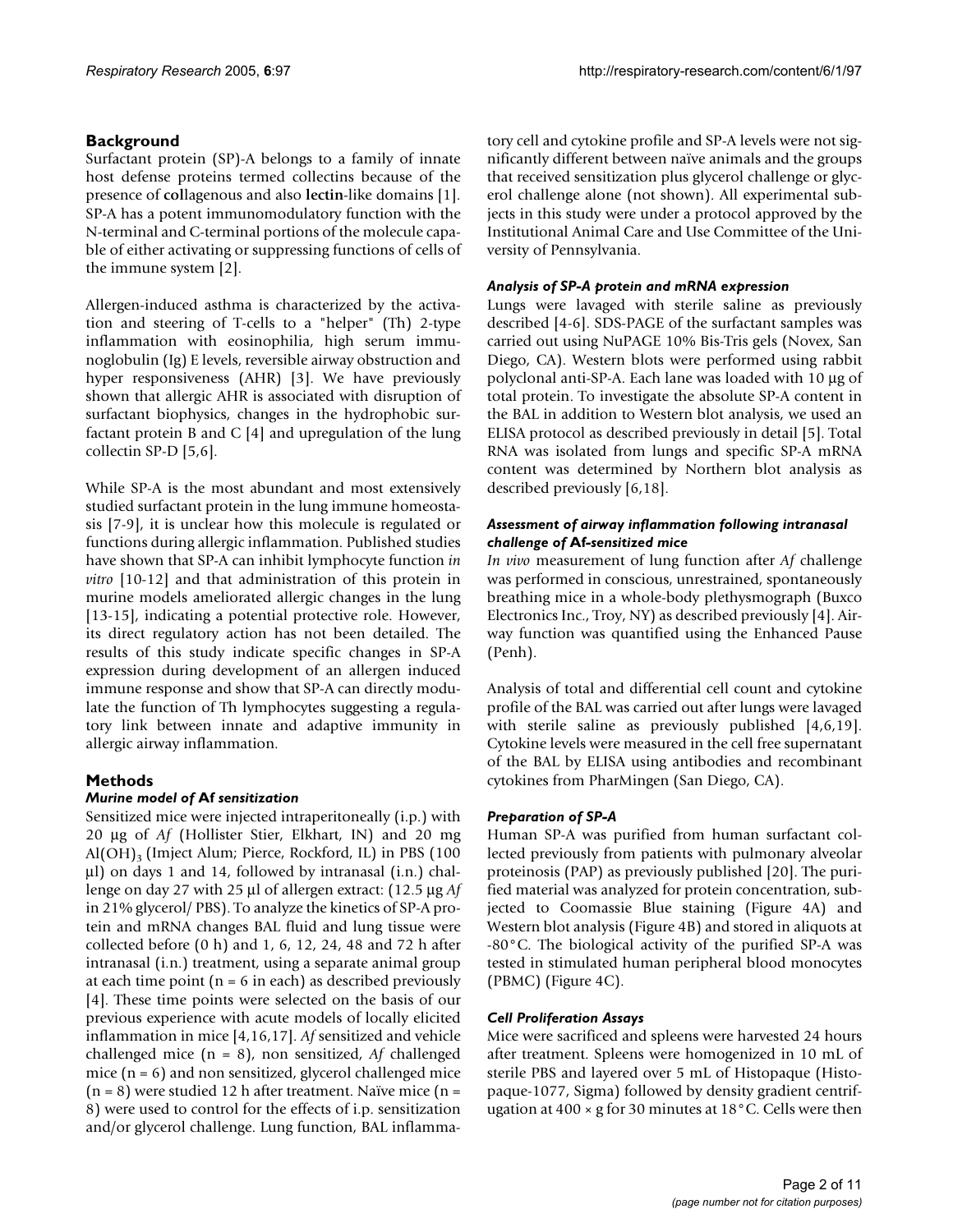# **Background**

Surfactant protein (SP)-A belongs to a family of innate host defense proteins termed collectins because of the presence of **col**lagenous and also **lectin**-like domains [1]. SP-A has a potent immunomodulatory function with the N-terminal and C-terminal portions of the molecule capable of either activating or suppressing functions of cells of the immune system [2].

Allergen-induced asthma is characterized by the activation and steering of T-cells to a "helper" (Th) 2-type inflammation with eosinophilia, high serum immunoglobulin (Ig) E levels, reversible airway obstruction and hyper responsiveness (AHR) [3]. We have previously shown that allergic AHR is associated with disruption of surfactant biophysics, changes in the hydrophobic surfactant protein B and C [4] and upregulation of the lung collectin SP-D [5,6].

While SP-A is the most abundant and most extensively studied surfactant protein in the lung immune homeostasis [7-9], it is unclear how this molecule is regulated or functions during allergic inflammation. Published studies have shown that SP-A can inhibit lymphocyte function *in vitro* [10-12] and that administration of this protein in murine models ameliorated allergic changes in the lung [13-15], indicating a potential protective role. However, its direct regulatory action has not been detailed. The results of this study indicate specific changes in SP-A expression during development of an allergen induced immune response and show that SP-A can directly modulate the function of Th lymphocytes suggesting a regulatory link between innate and adaptive immunity in allergic airway inflammation.

# **Methods**

# *Murine model of* **Af** *sensitization*

Sensitized mice were injected intraperitoneally (i.p.) with 20 µg of *Af* (Hollister Stier, Elkhart, IN) and 20 mg  $Al(OH)$ <sub>3</sub> (Imject Alum; Pierce, Rockford, IL) in PBS (100 µl) on days 1 and 14, followed by intranasal (i.n.) challenge on day 27 with 25 µl of allergen extract: (12.5 µg *Af* in 21% glycerol/ PBS). To analyze the kinetics of SP-A protein and mRNA changes BAL fluid and lung tissue were collected before (0 h) and 1, 6, 12, 24, 48 and 72 h after intranasal (i.n.) treatment, using a separate animal group at each time point  $(n = 6$  in each) as described previously [4]. These time points were selected on the basis of our previous experience with acute models of locally elicited inflammation in mice [4,16,17]. *Af* sensitized and vehicle challenged mice (n = 8), non sensitized, *Af* challenged mice  $(n = 6)$  and non sensitized, glycerol challenged mice  $(n = 8)$  were studied 12 h after treatment. Naïve mice  $(n = 12)$ 8) were used to control for the effects of i.p. sensitization and/or glycerol challenge. Lung function, BAL inflammatory cell and cytokine profile and SP-A levels were not significantly different between naïve animals and the groups that received sensitization plus glycerol challenge or glycerol challenge alone (not shown). All experimental subjects in this study were under a protocol approved by the Institutional Animal Care and Use Committee of the University of Pennsylvania.

# *Analysis of SP-A protein and mRNA expression*

Lungs were lavaged with sterile saline as previously described [4-6]. SDS-PAGE of the surfactant samples was carried out using NuPAGE 10% Bis-Tris gels (Novex, San Diego, CA). Western blots were performed using rabbit polyclonal anti-SP-A. Each lane was loaded with 10 µg of total protein. To investigate the absolute SP-A content in the BAL in addition to Western blot analysis, we used an ELISA protocol as described previously in detail [5]. Total RNA was isolated from lungs and specific SP-A mRNA content was determined by Northern blot analysis as described previously [6,18].

# *Assessment of airway inflammation following intranasal challenge of* **Af***-sensitized mice*

*In vivo* measurement of lung function after *Af* challenge was performed in conscious, unrestrained, spontaneously breathing mice in a whole-body plethysmograph (Buxco Electronics Inc., Troy, NY) as described previously [4]. Airway function was quantified using the Enhanced Pause (Penh).

Analysis of total and differential cell count and cytokine profile of the BAL was carried out after lungs were lavaged with sterile saline as previously published [4,6,19]. Cytokine levels were measured in the cell free supernatant of the BAL by ELISA using antibodies and recombinant cytokines from PharMingen (San Diego, CA).

# *Preparation of SP-A*

Human SP-A was purified from human surfactant collected previously from patients with pulmonary alveolar proteinosis (PAP) as previously published [20]. The purified material was analyzed for protein concentration, subjected to Coomassie Blue staining (Figure [4](#page-2-0)A) and Western blot analysis (Figure [4](#page-2-0)B) and stored in aliquots at -80°C. The biological activity of the purified SP-A was tested in stimulated human peripheral blood monocytes (PBMC) (Figure [4](#page-2-0)C).

# *Cell Proliferation Assays*

Mice were sacrificed and spleens were harvested 24 hours after treatment. Spleens were homogenized in 10 mL of sterile PBS and layered over 5 mL of Histopaque (Histopaque-1077, Sigma) followed by density gradient centrifugation at 400 × g for 30 minutes at 18°C. Cells were then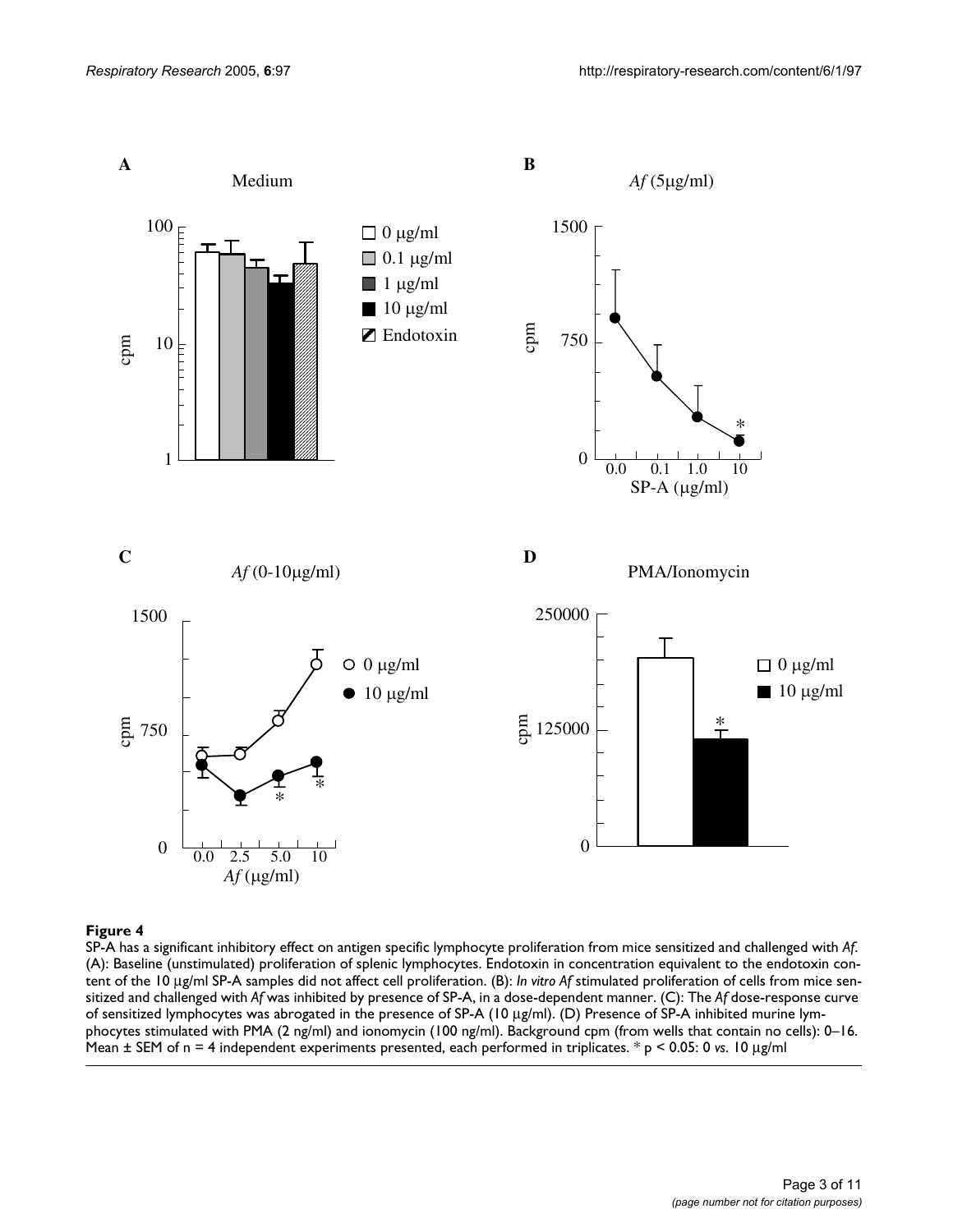<span id="page-2-0"></span>

#### SP-A has a significant inhibitory effect on **Figure 4** antigen specific lymphocyte proliferation from mice sensitized and challenged with *Af*

SP-A has a significant inhibitory effect on antigen specific lymphocyte proliferation from mice sensitized and challenged with *Af*. (A): Baseline (unstimulated) proliferation of splenic lymphocytes. Endotoxin in concentration equivalent to the endotoxin content of the 10 µg/ml SP-A samples did not affect cell proliferation. (B): *In vitro Af* stimulated proliferation of cells from mice sensitized and challenged with *Af* was inhibited by presence of SP-A, in a dose-dependent manner. (C): The *Af* dose-response curve of sensitized lymphocytes was abrogated in the presence of SP-A (10 µg/ml). (D) Presence of SP-A inhibited murine lymphocytes stimulated with PMA (2 ng/ml) and ionomycin (100 ng/ml). Background cpm (from wells that contain no cells): 0–16. Mean ± SEM of n = 4 independent experiments presented, each performed in triplicates. \* p < 0.05: 0 *vs*. 10 µg/ml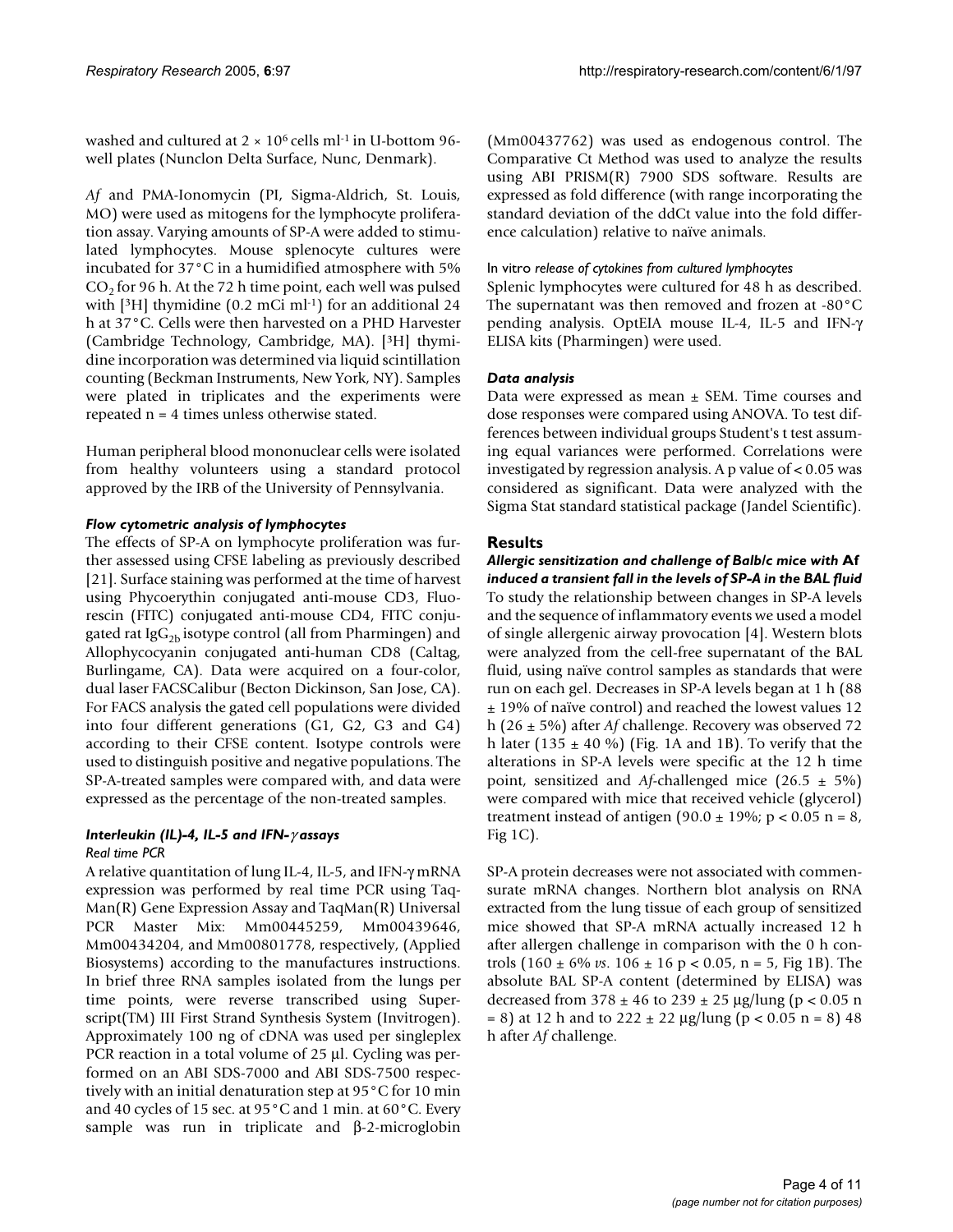washed and cultured at  $2 \times 10^6$  cells ml<sup>-1</sup> in U-bottom 96well plates (Nunclon Delta Surface, Nunc, Denmark).

*Af* and PMA-Ionomycin (PI, Sigma-Aldrich, St. Louis, MO) were used as mitogens for the lymphocyte proliferation assay. Varying amounts of SP-A were added to stimulated lymphocytes. Mouse splenocyte cultures were incubated for 37°C in a humidified atmosphere with 5%  $CO<sub>2</sub>$  for 96 h. At the 72 h time point, each well was pulsed with  $[3H]$  thymidine (0.2 mCi ml $-1$ ) for an additional 24 h at 37°C. Cells were then harvested on a PHD Harvester (Cambridge Technology, Cambridge, MA). [3H] thymidine incorporation was determined via liquid scintillation counting (Beckman Instruments, New York, NY). Samples were plated in triplicates and the experiments were repeated n = 4 times unless otherwise stated.

Human peripheral blood mononuclear cells were isolated from healthy volunteers using a standard protocol approved by the IRB of the University of Pennsylvania.

# *Flow cytometric analysis of lymphocytes*

The effects of SP-A on lymphocyte proliferation was further assessed using CFSE labeling as previously described [21]. Surface staining was performed at the time of harvest using Phycoerythin conjugated anti-mouse CD3, Fluorescin (FITC) conjugated anti-mouse CD4, FITC conjugated rat Ig $G_{2b}$  isotype control (all from Pharmingen) and Allophycocyanin conjugated anti-human CD8 (Caltag, Burlingame, CA). Data were acquired on a four-color, dual laser FACSCalibur (Becton Dickinson, San Jose, CA). For FACS analysis the gated cell populations were divided into four different generations (G1, G2, G3 and G4) according to their CFSE content. Isotype controls were used to distinguish positive and negative populations. The SP-A-treated samples were compared with, and data were expressed as the percentage of the non-treated samples.

# *Interleukin (IL)-4, IL-5 and IFN-*γ *assays*

*Real time PCR*

A relative quantitation of lung IL-4, IL-5, and IFN-γ mRNA expression was performed by real time PCR using Taq-Man(R) Gene Expression Assay and TaqMan(R) Universal PCR Master Mix: Mm00445259, Mm00439646, Mm00434204, and Mm00801778, respectively, (Applied Biosystems) according to the manufactures instructions. In brief three RNA samples isolated from the lungs per time points, were reverse transcribed using Superscript(TM) III First Strand Synthesis System (Invitrogen). Approximately 100 ng of cDNA was used per singleplex PCR reaction in a total volume of 25 µl. Cycling was performed on an ABI SDS-7000 and ABI SDS-7500 respectively with an initial denaturation step at 95°C for 10 min and 40 cycles of 15 sec. at 95°C and 1 min. at 60°C. Every sample was run in triplicate and β-2-microglobin (Mm00437762) was used as endogenous control. The Comparative Ct Method was used to analyze the results using ABI PRISM(R) 7900 SDS software. Results are expressed as fold difference (with range incorporating the standard deviation of the ddCt value into the fold difference calculation) relative to naïve animals.

# In vitro *release of cytokines from cultured lymphocytes*

Splenic lymphocytes were cultured for 48 h as described. The supernatant was then removed and frozen at -80°C pending analysis. OptEIA mouse IL-4, IL-5 and IFN-γ ELISA kits (Pharmingen) were used.

# *Data analysis*

Data were expressed as mean  $\pm$  SEM. Time courses and dose responses were compared using ANOVA. To test differences between individual groups Student's t test assuming equal variances were performed. Correlations were investigated by regression analysis. A p value of < 0.05 was considered as significant. Data were analyzed with the Sigma Stat standard statistical package (Jandel Scientific).

# **Results**

*Allergic sensitization and challenge of Balb/c mice with* **Af**  *induced a transient fall in the levels of SP-A in the BAL fluid* To study the relationship between changes in SP-A levels and the sequence of inflammatory events we used a model of single allergenic airway provocation [4]. Western blots were analyzed from the cell-free supernatant of the BAL fluid, using naïve control samples as standards that were run on each gel. Decreases in SP-A levels began at 1 h (88 ± 19% of naïve control) and reached the lowest values 12 h (26 ± 5%) after *Af* challenge. Recovery was observed 72 h later (135  $\pm$  40 %) (Fig. [1A](#page-4-0) and [1B](#page-4-0)). To verify that the alterations in SP-A levels were specific at the 12 h time point, sensitized and *Af*-challenged mice (26.5 ± 5%) were compared with mice that received vehicle (glycerol) treatment instead of antigen (90.0  $\pm$  19%; p < 0.05 n = 8, Fig [1](#page-4-0)C).

SP-A protein decreases were not associated with commensurate mRNA changes. Northern blot analysis on RNA extracted from the lung tissue of each group of sensitized mice showed that SP-A mRNA actually increased 12 h after allergen challenge in comparison with the 0 h controls (160 ± 6% *vs*. 106 ± 16 p < 0.05, n = 5, Fig [1B](#page-4-0)). The absolute BAL SP-A content (determined by ELISA) was decreased from  $378 \pm 46$  to  $239 \pm 25$  µg/lung (p < 0.05 n  $= 8$ ) at 12 h and to 222  $\pm$  22 µg/lung (p < 0.05 n = 8) 48 h after *Af* challenge.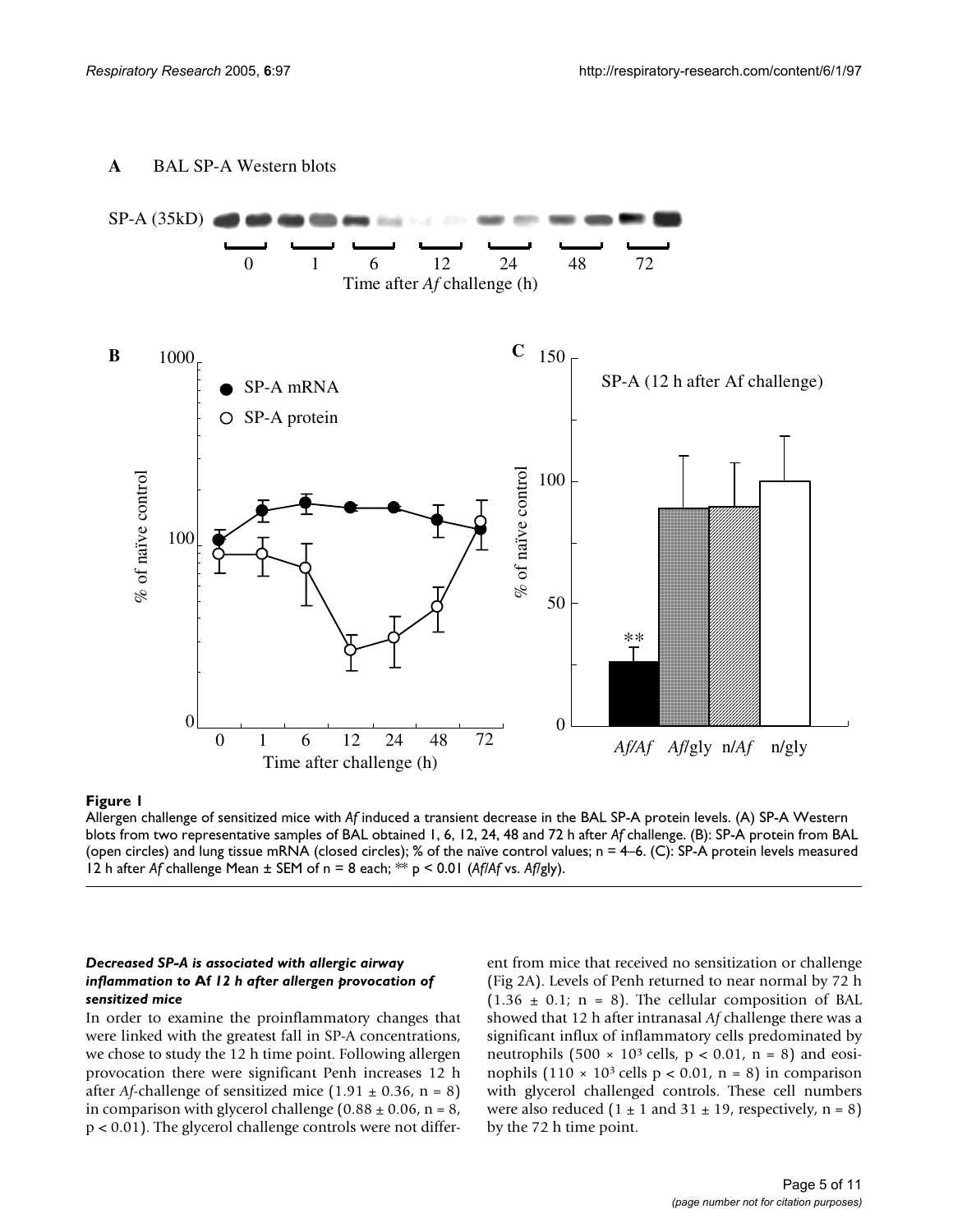<span id="page-4-0"></span>



#### Allergen challenge of sensitized mice with **Figure 1** *Af* induced a transient decrease in the BAL SP-A protein levels

Allergen challenge of sensitized mice with *Af* induced a transient decrease in the BAL SP-A protein levels. (A) SP-A Western blots from two representative samples of BAL obtained 1, 6, 12, 24, 48 and 72 h after *Af* challenge. (B): SP-A protein from BAL (open circles) and lung tissue mRNA (closed circles); % of the naïve control values; n = 4–6. (C): SP-A protein levels measured 12 h after *Af* challenge Mean ± SEM of n = 8 each; \*\* p < 0.01 (*Af/Af* vs. *Af*/gly).

#### *Decreased SP-A is associated with allergic airway inflammation to* **Af** *12 h after allergen provocation of sensitized mice*

In order to examine the proinflammatory changes that were linked with the greatest fall in SP-A concentrations, we chose to study the 12 h time point. Following allergen provocation there were significant Penh increases 12 h after *Af*-challenge of sensitized mice  $(1.91 \pm 0.36, n = 8)$ in comparison with glycerol challenge  $(0.88 \pm 0.06, n = 8,$ p < 0.01). The glycerol challenge controls were not different from mice that received no sensitization or challenge (Fig 2A). Levels of Penh returned to near normal by 72 h  $(1.36 \pm 0.1; n = 8)$ . The cellular composition of BAL showed that 12 h after intranasal *Af* challenge there was a significant influx of inflammatory cells predominated by neutrophils  $(500 \times 10^3 \text{ cells}, p < 0.01, n = 8)$  and eosinophils  $(110 \times 10^3 \text{ cells p} < 0.01, n = 8)$  in comparison with glycerol challenged controls. These cell numbers were also reduced  $(1 \pm 1$  and  $31 \pm 19$ , respectively, n = 8) by the 72 h time point.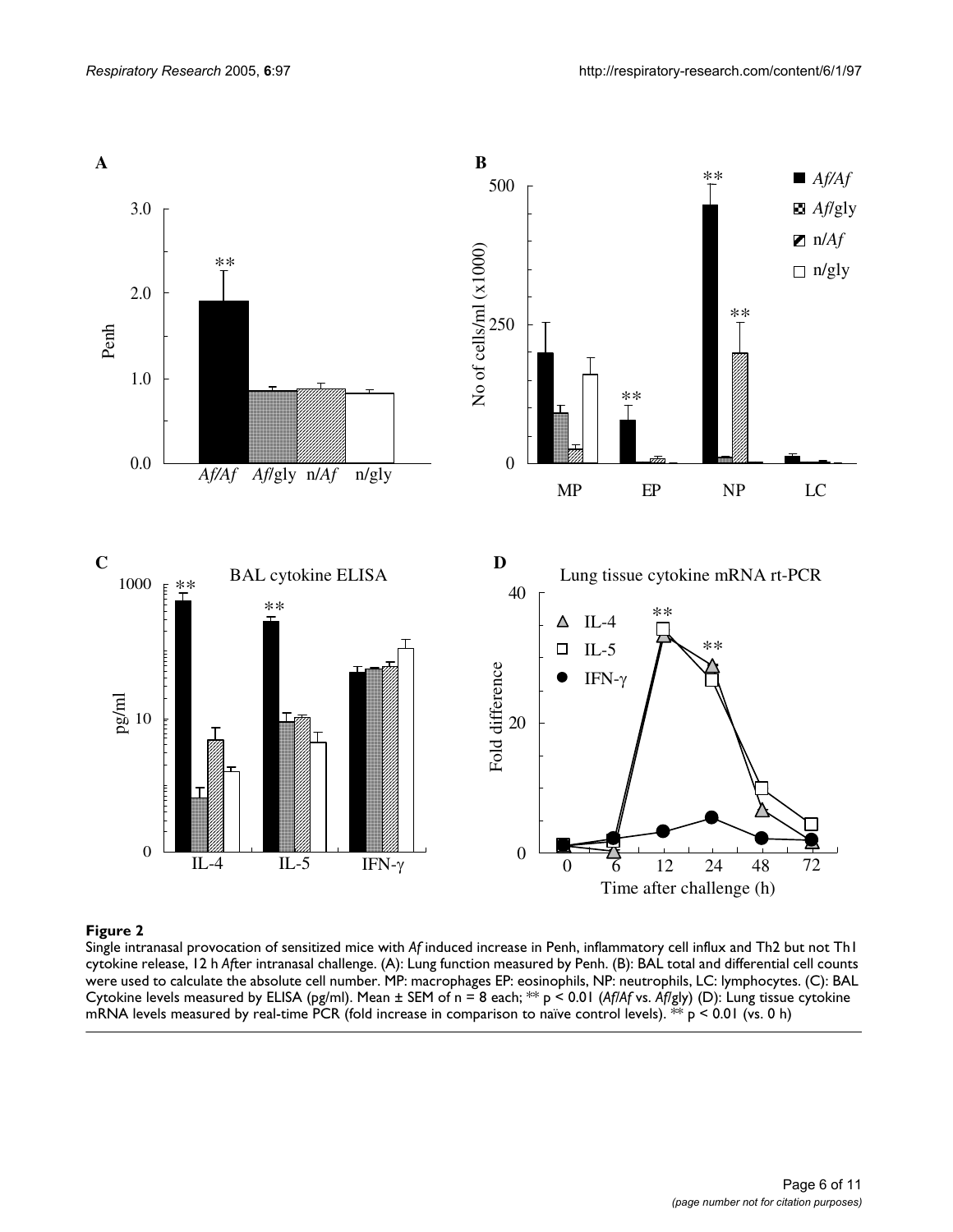

#### **Figure 2** Single intranasal provocation of sensitized mice with cytokine release, 12 h *Af*ter intranasal challenge *Af* induced increase in Penh, inflammatory cell influx and Th2 but not Th1

Single intranasal provocation of sensitized mice with *Af* induced increase in Penh, inflammatory cell influx and Th2 but not Th1 cytokine release, 12 h *Af*ter intranasal challenge. (A): Lung function measured by Penh. (B): BAL total and differential cell counts were used to calculate the absolute cell number. MP: macrophages EP: eosinophils, NP: neutrophils, LC: lymphocytes. (C): BAL Cytokine levels measured by ELISA (pg/ml). Mean ± SEM of n = 8 each; \*\* p < 0.01 (*Af/Af* vs. *Af*/gly) (D): Lung tissue cytokine mRNA levels measured by real-time PCR (fold increase in comparison to naïve control levels). \*\*  $p < 0.01$  (vs. 0 h)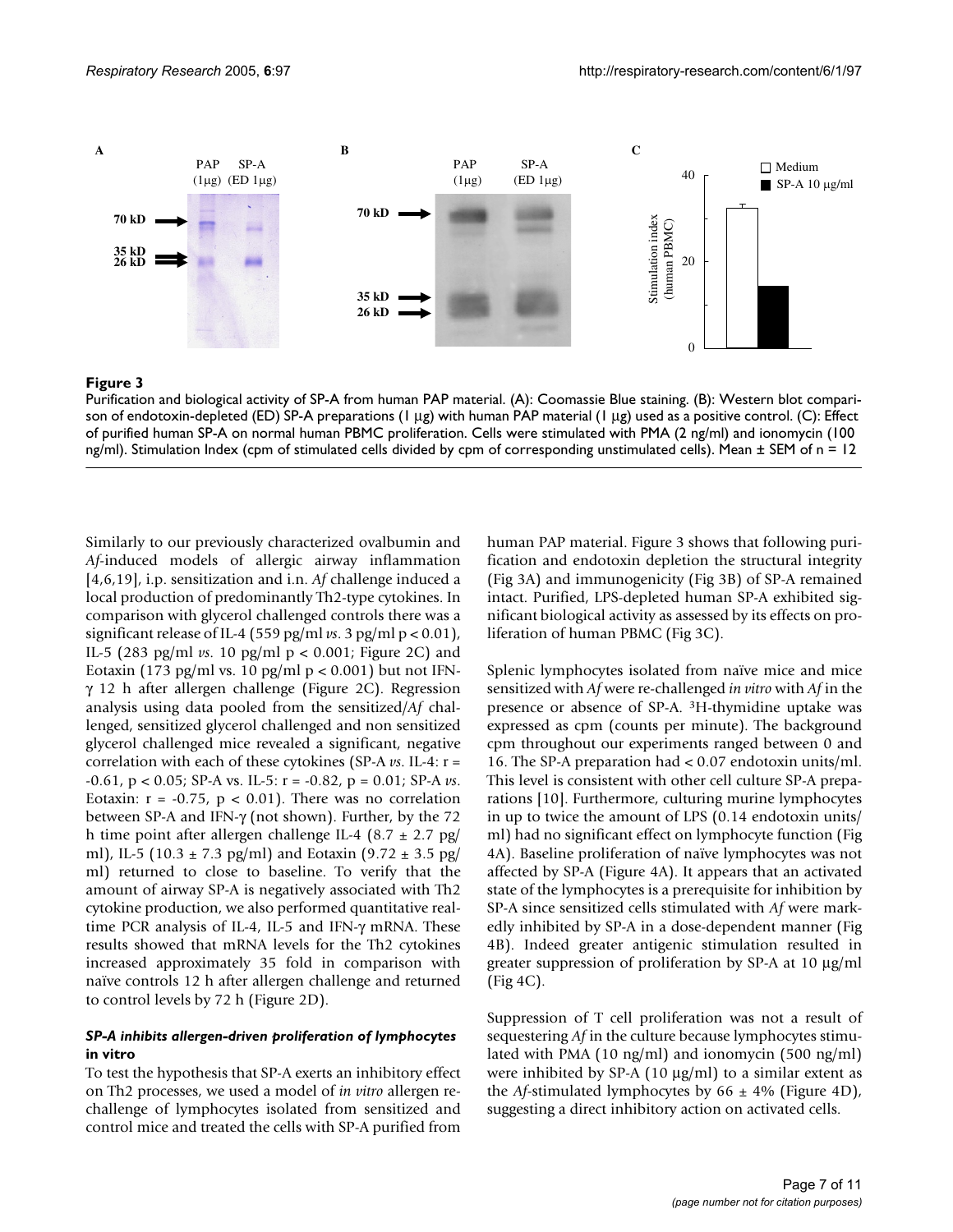

#### **Figure 3**

Purification and biological activity of SP-A from human PAP material. (A): Coomassie Blue staining. (B): Western blot comparison of endotoxin-depleted (ED) SP-A preparations (1 µg) with human PAP material (1 µg) used as a positive control. (C): Effect of purified human SP-A on normal human PBMC proliferation. Cells were stimulated with PMA (2 ng/ml) and ionomycin (100 ng/ml). Stimulation Index (cpm of stimulated cells divided by cpm of corresponding unstimulated cells). Mean ± SEM of n = 12

Similarly to our previously characterized ovalbumin and *Af*-induced models of allergic airway inflammation [4,6,19], i.p. sensitization and i.n. *Af* challenge induced a local production of predominantly Th2-type cytokines. In comparison with glycerol challenged controls there was a significant release of IL-4 (559 pg/ml *vs*. 3 pg/ml p < 0.01), IL-5 (283 pg/ml *vs*. 10 pg/ml p < 0.001; Figure 2C) and Eotaxin (173 pg/ml vs. 10 pg/ml p < 0.001) but not IFNγ 12 h after allergen challenge (Figure 2C). Regression analysis using data pooled from the sensitized/*Af* challenged, sensitized glycerol challenged and non sensitized glycerol challenged mice revealed a significant, negative correlation with each of these cytokines (SP-A *vs*. IL-4: r = -0.61, p < 0.05; SP-A vs. IL-5: r = -0.82, p = 0.01; SP-A *vs*. Eotaxin:  $r = -0.75$ ,  $p < 0.01$ ). There was no correlation between SP-A and IFN-γ (not shown). Further, by the 72 h time point after allergen challenge IL-4 (8.7  $\pm$  2.7 pg/ ml), IL-5 (10.3  $\pm$  7.3 pg/ml) and Eotaxin (9.72  $\pm$  3.5 pg/ ml) returned to close to baseline. To verify that the amount of airway SP-A is negatively associated with Th2 cytokine production, we also performed quantitative realtime PCR analysis of IL-4, IL-5 and IFN-γ mRNA. These results showed that mRNA levels for the Th2 cytokines increased approximately 35 fold in comparison with naïve controls 12 h after allergen challenge and returned to control levels by 72 h (Figure 2D).

#### *SP-A inhibits allergen-driven proliferation of lymphocytes*  **in vitro**

To test the hypothesis that SP-A exerts an inhibitory effect on Th2 processes, we used a model of *in vitro* allergen rechallenge of lymphocytes isolated from sensitized and control mice and treated the cells with SP-A purified from

human PAP material. Figure 3 shows that following purification and endotoxin depletion the structural integrity (Fig 3A) and immunogenicity (Fig 3B) of SP-A remained intact. Purified, LPS-depleted human SP-A exhibited significant biological activity as assessed by its effects on proliferation of human PBMC (Fig 3C).

Splenic lymphocytes isolated from naïve mice and mice sensitized with *Af* were re-challenged *in vitro* with *Af* in the presence or absence of SP-A. 3H-thymidine uptake was expressed as cpm (counts per minute). The background cpm throughout our experiments ranged between 0 and 16. The SP-A preparation had < 0.07 endotoxin units/ml. This level is consistent with other cell culture SP-A preparations [10]. Furthermore, culturing murine lymphocytes in up to twice the amount of LPS (0.14 endotoxin units/ ml) had no significant effect on lymphocyte function (Fig [4](#page-2-0)A). Baseline proliferation of naïve lymphocytes was not affected by SP-A (Figure [4](#page-2-0)A). It appears that an activated state of the lymphocytes is a prerequisite for inhibition by SP-A since sensitized cells stimulated with *Af* were markedly inhibited by SP-A in a dose-dependent manner (Fig [4](#page-2-0)B). Indeed greater antigenic stimulation resulted in greater suppression of proliferation by SP-A at 10 µg/ml (Fig [4](#page-2-0)C).

Suppression of T cell proliferation was not a result of sequestering *Af* in the culture because lymphocytes stimulated with PMA (10 ng/ml) and ionomycin (500 ng/ml) were inhibited by SP-A  $(10 \mu g/ml)$  to a similar extent as the *Af*-stimulated lymphocytes by  $66 \pm 4\%$  (Figure [4D](#page-2-0)), suggesting a direct inhibitory action on activated cells.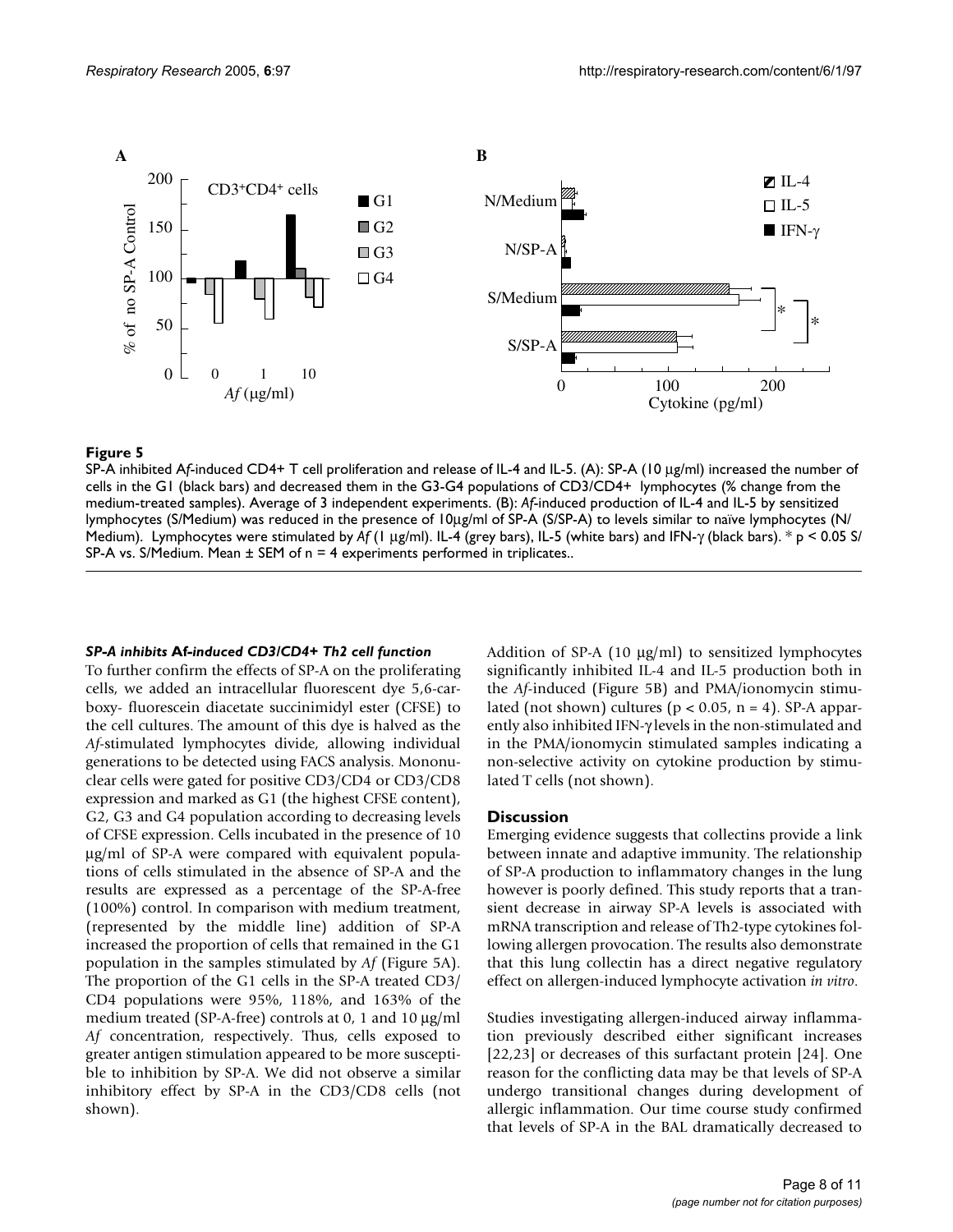

#### Figure 5

SP-A inhibited A*f*-induced CD4+ T cell proliferation and release of IL-4 and IL-5. (A): SP-A (10 µg/ml) increased the number of cells in the G1 (black bars) and decreased them in the G3-G4 populations of CD3/CD4+ lymphocytes (% change from the medium-treated samples). Average of 3 independent experiments. (B): *Af*-induced production of IL-4 and IL-5 by sensitized lymphocytes (S/Medium) was reduced in the presence of 10µg/ml of SP-A (S/SP-A) to levels similar to naïve lymphocytes (N/ Medium). Lymphocytes were stimulated by *Af* (1 µg/ml). IL-4 (grey bars), IL-5 (white bars) and IFN-γ (black bars). \* p < 0.05 S/

# *SP-A inhibits* **Af***-induced CD3/CD4+ Th2 cell function*

To further confirm the effects of SP-A on the proliferating cells, we added an intracellular fluorescent dye 5,6-carboxy- fluorescein diacetate succinimidyl ester (CFSE) to the cell cultures. The amount of this dye is halved as the *Af*-stimulated lymphocytes divide, allowing individual generations to be detected using FACS analysis. Mononuclear cells were gated for positive CD3/CD4 or CD3/CD8 expression and marked as G1 (the highest CFSE content), G2, G3 and G4 population according to decreasing levels of CFSE expression. Cells incubated in the presence of 10 µg/ml of SP-A were compared with equivalent populations of cells stimulated in the absence of SP-A and the results are expressed as a percentage of the SP-A-free (100%) control. In comparison with medium treatment, (represented by the middle line) addition of SP-A increased the proportion of cells that remained in the G1 population in the samples stimulated by *Af* (Figure 5A). The proportion of the G1 cells in the SP-A treated CD3/ CD4 populations were 95%, 118%, and 163% of the medium treated (SP-A-free) controls at 0, 1 and 10 µg/ml *Af* concentration, respectively. Thus, cells exposed to greater antigen stimulation appeared to be more susceptible to inhibition by SP-A. We did not observe a similar inhibitory effect by SP-A in the CD3/CD8 cells (not shown).

Addition of SP-A (10 µg/ml) to sensitized lymphocytes significantly inhibited IL-4 and IL-5 production both in the *Af*-induced (Figure 5B) and PMA/ionomycin stimulated (not shown) cultures ( $p < 0.05$ ,  $n = 4$ ). SP-A apparently also inhibited IFN-γ levels in the non-stimulated and in the PMA/ionomycin stimulated samples indicating a non-selective activity on cytokine production by stimulated T cells (not shown).

#### **Discussion**

Emerging evidence suggests that collectins provide a link between innate and adaptive immunity. The relationship of SP-A production to inflammatory changes in the lung however is poorly defined. This study reports that a transient decrease in airway SP-A levels is associated with mRNA transcription and release of Th2-type cytokines following allergen provocation. The results also demonstrate that this lung collectin has a direct negative regulatory effect on allergen-induced lymphocyte activation *in vitro*.

Studies investigating allergen-induced airway inflammation previously described either significant increases [22,23] or decreases of this surfactant protein [24]. One reason for the conflicting data may be that levels of SP-A undergo transitional changes during development of allergic inflammation. Our time course study confirmed that levels of SP-A in the BAL dramatically decreased to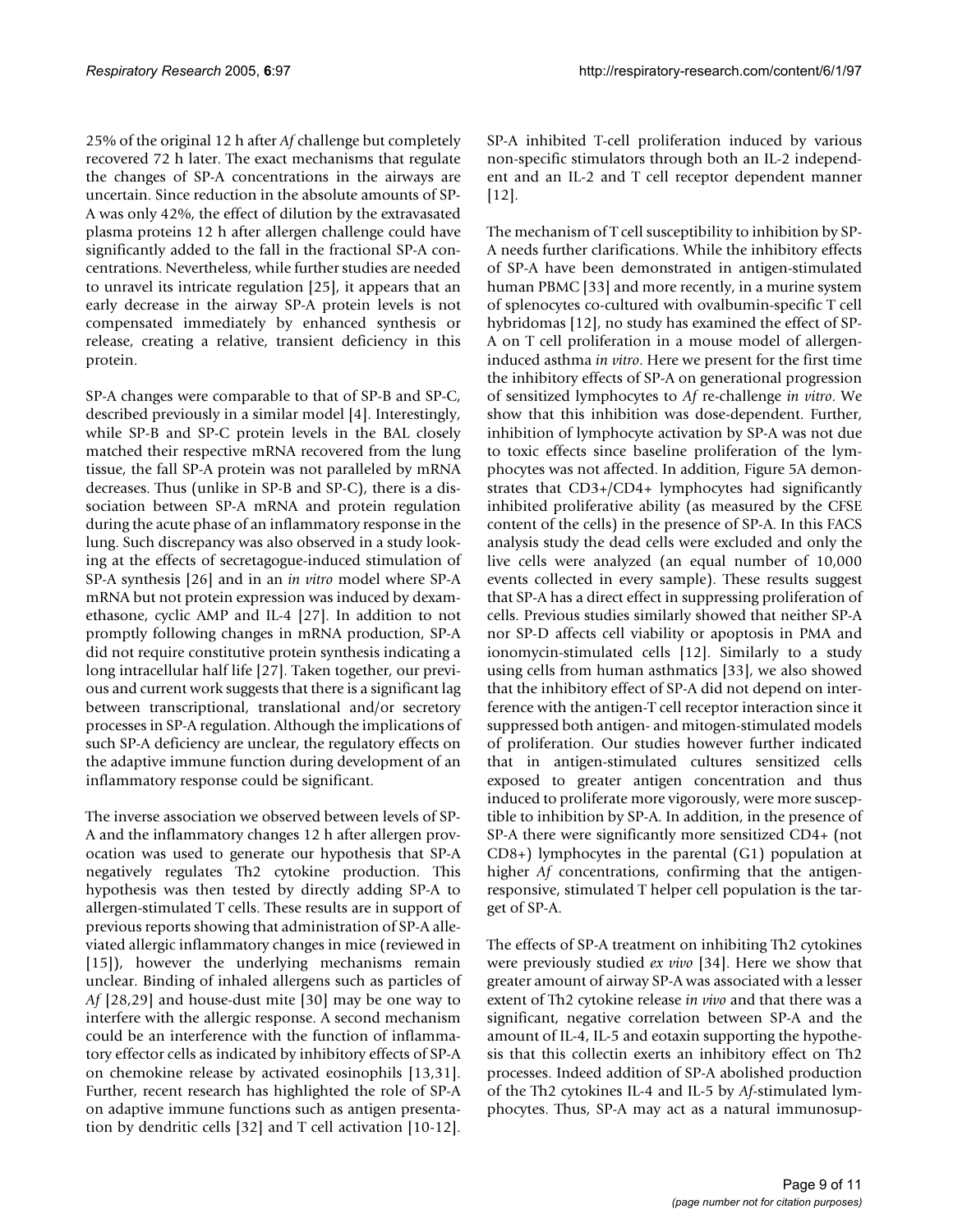25% of the original 12 h after *Af* challenge but completely recovered 72 h later. The exact mechanisms that regulate the changes of SP-A concentrations in the airways are uncertain. Since reduction in the absolute amounts of SP-A was only 42%, the effect of dilution by the extravasated plasma proteins 12 h after allergen challenge could have significantly added to the fall in the fractional SP-A concentrations. Nevertheless, while further studies are needed to unravel its intricate regulation [25], it appears that an early decrease in the airway SP-A protein levels is not compensated immediately by enhanced synthesis or release, creating a relative, transient deficiency in this protein.

SP-A changes were comparable to that of SP-B and SP-C, described previously in a similar model [4]. Interestingly, while SP-B and SP-C protein levels in the BAL closely matched their respective mRNA recovered from the lung tissue, the fall SP-A protein was not paralleled by mRNA decreases. Thus (unlike in SP-B and SP-C), there is a dissociation between SP-A mRNA and protein regulation during the acute phase of an inflammatory response in the lung. Such discrepancy was also observed in a study looking at the effects of secretagogue-induced stimulation of SP-A synthesis [26] and in an *in vitro* model where SP-A mRNA but not protein expression was induced by dexamethasone, cyclic AMP and IL-4 [27]. In addition to not promptly following changes in mRNA production, SP-A did not require constitutive protein synthesis indicating a long intracellular half life [27]. Taken together, our previous and current work suggests that there is a significant lag between transcriptional, translational and/or secretory processes in SP-A regulation. Although the implications of such SP-A deficiency are unclear, the regulatory effects on the adaptive immune function during development of an inflammatory response could be significant.

The inverse association we observed between levels of SP-A and the inflammatory changes 12 h after allergen provocation was used to generate our hypothesis that SP-A negatively regulates Th2 cytokine production. This hypothesis was then tested by directly adding SP-A to allergen-stimulated T cells. These results are in support of previous reports showing that administration of SP-A alleviated allergic inflammatory changes in mice (reviewed in [15]), however the underlying mechanisms remain unclear. Binding of inhaled allergens such as particles of Af [28,29] and house-dust mite [30] may be one way to interfere with the allergic response. A second mechanism could be an interference with the function of inflammatory effector cells as indicated by inhibitory effects of SP-A on chemokine release by activated eosinophils [13,31]. Further, recent research has highlighted the role of SP-A on adaptive immune functions such as antigen presentation by dendritic cells [32] and T cell activation [10-12].

SP-A inhibited T-cell proliferation induced by various non-specific stimulators through both an IL-2 independent and an IL-2 and T cell receptor dependent manner [12].

The mechanism of T cell susceptibility to inhibition by SP-A needs further clarifications. While the inhibitory effects of SP-A have been demonstrated in antigen-stimulated human PBMC [33] and more recently, in a murine system of splenocytes co-cultured with ovalbumin-specific T cell hybridomas [12], no study has examined the effect of SP-A on T cell proliferation in a mouse model of allergeninduced asthma *in vitro*. Here we present for the first time the inhibitory effects of SP-A on generational progression of sensitized lymphocytes to *Af* re-challenge *in vitro*. We show that this inhibition was dose-dependent. Further, inhibition of lymphocyte activation by SP-A was not due to toxic effects since baseline proliferation of the lymphocytes was not affected. In addition, Figure 5A demonstrates that CD3+/CD4+ lymphocytes had significantly inhibited proliferative ability (as measured by the CFSE content of the cells) in the presence of SP-A. In this FACS analysis study the dead cells were excluded and only the live cells were analyzed (an equal number of 10,000 events collected in every sample). These results suggest that SP-A has a direct effect in suppressing proliferation of cells. Previous studies similarly showed that neither SP-A nor SP-D affects cell viability or apoptosis in PMA and ionomycin-stimulated cells [12]. Similarly to a study using cells from human asthmatics [33], we also showed that the inhibitory effect of SP-A did not depend on interference with the antigen-T cell receptor interaction since it suppressed both antigen- and mitogen-stimulated models of proliferation. Our studies however further indicated that in antigen-stimulated cultures sensitized cells exposed to greater antigen concentration and thus induced to proliferate more vigorously, were more susceptible to inhibition by SP-A. In addition, in the presence of SP-A there were significantly more sensitized CD4+ (not CD8+) lymphocytes in the parental (G1) population at higher *Af* concentrations, confirming that the antigenresponsive, stimulated T helper cell population is the target of SP-A.

The effects of SP-A treatment on inhibiting Th2 cytokines were previously studied *ex vivo* [34]. Here we show that greater amount of airway SP-A was associated with a lesser extent of Th2 cytokine release *in vivo* and that there was a significant, negative correlation between SP-A and the amount of IL-4, IL-5 and eotaxin supporting the hypothesis that this collectin exerts an inhibitory effect on Th2 processes. Indeed addition of SP-A abolished production of the Th2 cytokines IL-4 and IL-5 by *Af*-stimulated lymphocytes. Thus, SP-A may act as a natural immunosup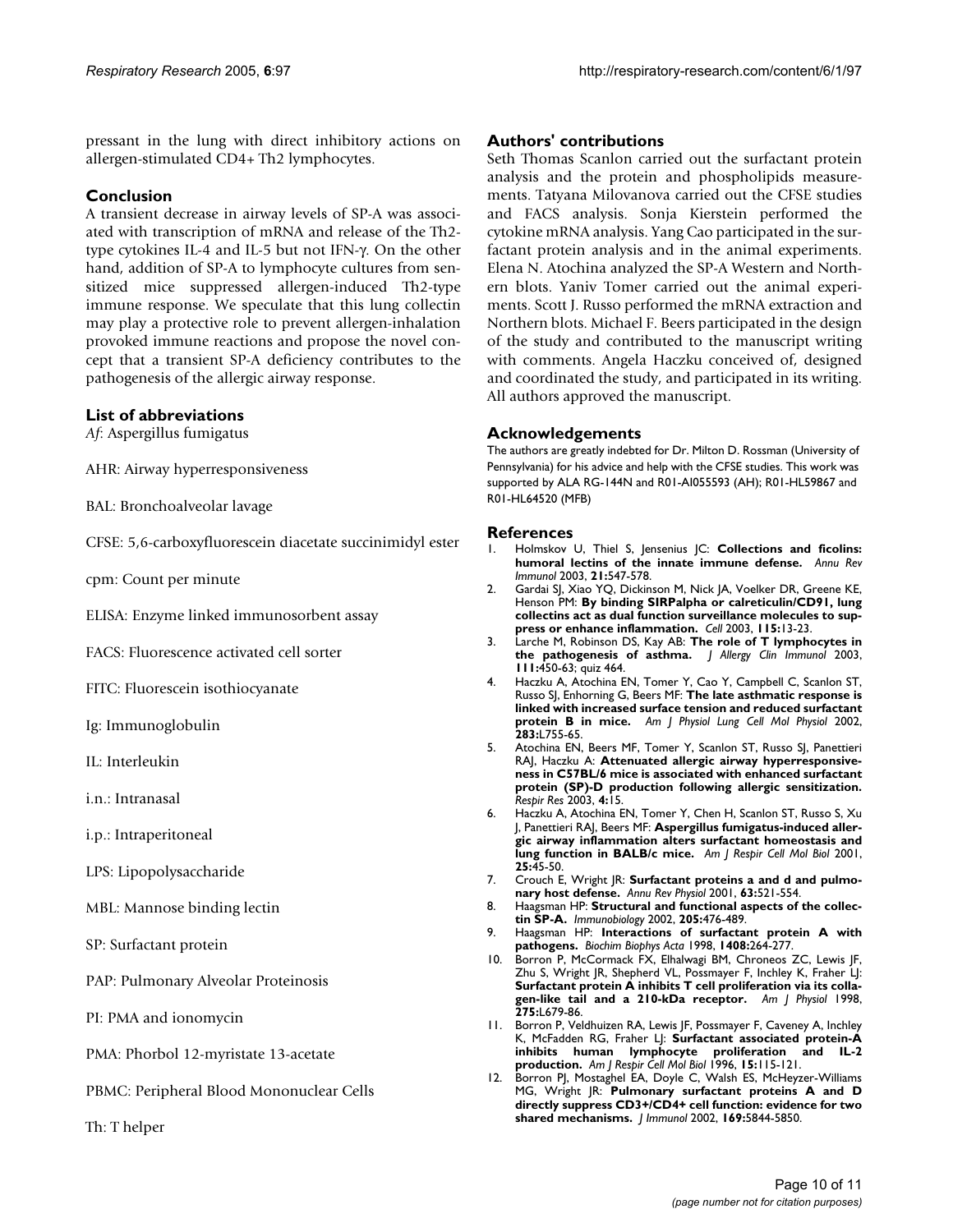pressant in the lung with direct inhibitory actions on allergen-stimulated CD4+ Th2 lymphocytes.

# **Conclusion**

A transient decrease in airway levels of SP-A was associated with transcription of mRNA and release of the Th2 type cytokines IL-4 and IL-5 but not IFN-γ. On the other hand, addition of SP-A to lymphocyte cultures from sensitized mice suppressed allergen-induced Th2-type immune response. We speculate that this lung collectin may play a protective role to prevent allergen-inhalation provoked immune reactions and propose the novel concept that a transient SP-A deficiency contributes to the pathogenesis of the allergic airway response.

# **List of abbreviations**

*Af*: Aspergillus fumigatus

AHR: Airway hyperresponsiveness

- BAL: Bronchoalveolar lavage
- CFSE: 5,6-carboxyfluorescein diacetate succinimidyl ester
- cpm: Count per minute

ELISA: Enzyme linked immunosorbent assay

FACS: Fluorescence activated cell sorter

FITC: Fluorescein isothiocyanate

- Ig: Immunoglobulin
- IL: Interleukin
- i.n.: Intranasal
- i.p.: Intraperitoneal
- LPS: Lipopolysaccharide
- MBL: Mannose binding lectin
- SP: Surfactant protein

PAP: Pulmonary Alveolar Proteinosis

- PI: PMA and ionomycin
- PMA: Phorbol 12-myristate 13-acetate
- PBMC: Peripheral Blood Mononuclear Cells
- Th: T helper

#### **Authors' contributions**

Seth Thomas Scanlon carried out the surfactant protein analysis and the protein and phospholipids measurements. Tatyana Milovanova carried out the CFSE studies and FACS analysis. Sonja Kierstein performed the cytokine mRNA analysis. Yang Cao participated in the surfactant protein analysis and in the animal experiments. Elena N. Atochina analyzed the SP-A Western and Northern blots. Yaniv Tomer carried out the animal experiments. Scott J. Russo performed the mRNA extraction and Northern blots. Michael F. Beers participated in the design of the study and contributed to the manuscript writing with comments. Angela Haczku conceived of, designed and coordinated the study, and participated in its writing. All authors approved the manuscript.

#### **Acknowledgements**

The authors are greatly indebted for Dr. Milton D. Rossman (University of Pennsylvania) for his advice and help with the CFSE studies. This work was supported by ALA RG-144N and R01-AI055593 (AH); R01-HL59867 and R01-HL64520 (MFB)

#### **References**

- 1. Holmskov U, Thiel S, Jensenius JC: **[Collections and ficolins:](http://www.ncbi.nlm.nih.gov/entrez/query.fcgi?cmd=Retrieve&db=PubMed&dopt=Abstract&list_uids=12524383) [humoral lectins of the innate immune defense.](http://www.ncbi.nlm.nih.gov/entrez/query.fcgi?cmd=Retrieve&db=PubMed&dopt=Abstract&list_uids=12524383)** *Annu Rev Immunol* 2003, **21:**547-578.
- 2. Gardai SJ, Xiao YQ, Dickinson M, Nick JA, Voelker DR, Greene KE, Henson PM: **[By binding SIRPalpha or calreticulin/CD91, lung](http://www.ncbi.nlm.nih.gov/entrez/query.fcgi?cmd=Retrieve&db=PubMed&dopt=Abstract&list_uids=14531999) [collectins act as dual function surveillance molecules to sup](http://www.ncbi.nlm.nih.gov/entrez/query.fcgi?cmd=Retrieve&db=PubMed&dopt=Abstract&list_uids=14531999)[press or enhance inflammation.](http://www.ncbi.nlm.nih.gov/entrez/query.fcgi?cmd=Retrieve&db=PubMed&dopt=Abstract&list_uids=14531999)** *Cell* 2003, **115:**13-23.
- 3. Larche M, Robinson DS, Kay AB: **[The role of T lymphocytes in](http://www.ncbi.nlm.nih.gov/entrez/query.fcgi?cmd=Retrieve&db=PubMed&dopt=Abstract&list_uids=12642820) [the pathogenesis of asthma.](http://www.ncbi.nlm.nih.gov/entrez/query.fcgi?cmd=Retrieve&db=PubMed&dopt=Abstract&list_uids=12642820)** *J Allergy Clin Immunol* 2003, **111:**450-63; quiz 464.
- 4. Haczku A, Atochina EN, Tomer Y, Cao Y, Campbell C, Scanlon ST, Russo SJ, Enhorning G, Beers MF: **[The late asthmatic response is](http://www.ncbi.nlm.nih.gov/entrez/query.fcgi?cmd=Retrieve&db=PubMed&dopt=Abstract&list_uids=12225952) [linked with increased surface tension and reduced surfactant](http://www.ncbi.nlm.nih.gov/entrez/query.fcgi?cmd=Retrieve&db=PubMed&dopt=Abstract&list_uids=12225952) [protein B in mice.](http://www.ncbi.nlm.nih.gov/entrez/query.fcgi?cmd=Retrieve&db=PubMed&dopt=Abstract&list_uids=12225952)** *Am J Physiol Lung Cell Mol Physiol* 2002, **283:**L755-65.
- 5. Atochina EN, Beers MF, Tomer Y, Scanlon ST, Russo SJ, Panettieri RAJ, Haczku A: **[Attenuated allergic airway hyperresponsive](http://www.ncbi.nlm.nih.gov/entrez/query.fcgi?cmd=Retrieve&db=PubMed&dopt=Abstract&list_uids=14748931)[ness in C57BL/6 mice is associated with enhanced surfactant](http://www.ncbi.nlm.nih.gov/entrez/query.fcgi?cmd=Retrieve&db=PubMed&dopt=Abstract&list_uids=14748931) protein (SP)-D production following allergic sensitization.** *Respir Res* 2003, **4:**15.
- 6. Haczku A, Atochina EN, Tomer Y, Chen H, Scanlon ST, Russo S, Xu J, Panettieri RAJ, Beers MF: **[Aspergillus fumigatus-induced aller](http://www.ncbi.nlm.nih.gov/entrez/query.fcgi?cmd=Retrieve&db=PubMed&dopt=Abstract&list_uids=11472974)[gic airway inflammation alters surfactant homeostasis and](http://www.ncbi.nlm.nih.gov/entrez/query.fcgi?cmd=Retrieve&db=PubMed&dopt=Abstract&list_uids=11472974) [lung function in BALB/c mice.](http://www.ncbi.nlm.nih.gov/entrez/query.fcgi?cmd=Retrieve&db=PubMed&dopt=Abstract&list_uids=11472974)** *Am J Respir Cell Mol Biol* 2001, **25:**45-50.
- 7. Crouch E, Wright JR: **[Surfactant proteins a and d and pulmo](http://www.ncbi.nlm.nih.gov/entrez/query.fcgi?cmd=Retrieve&db=PubMed&dopt=Abstract&list_uids=11181966)[nary host defense.](http://www.ncbi.nlm.nih.gov/entrez/query.fcgi?cmd=Retrieve&db=PubMed&dopt=Abstract&list_uids=11181966)** *Annu Rev Physiol* 2001, **63:**521-554.
- 8. Haagsman HP: **[Structural and functional aspects of the collec](http://www.ncbi.nlm.nih.gov/entrez/query.fcgi?cmd=Retrieve&db=PubMed&dopt=Abstract&list_uids=12396009)[tin SP-A.](http://www.ncbi.nlm.nih.gov/entrez/query.fcgi?cmd=Retrieve&db=PubMed&dopt=Abstract&list_uids=12396009)** *Immunobiology* 2002, **205:**476-489.
- 9. Haagsman HP: **[Interactions of surfactant protein A with](http://www.ncbi.nlm.nih.gov/entrez/query.fcgi?cmd=Retrieve&db=PubMed&dopt=Abstract&list_uids=9813361) [pathogens.](http://www.ncbi.nlm.nih.gov/entrez/query.fcgi?cmd=Retrieve&db=PubMed&dopt=Abstract&list_uids=9813361)** *Biochim Biophys Acta* 1998, **1408:**264-277.
- 10. Borron P, McCormack FX, Elhalwagi BM, Chroneos ZC, Lewis JF, Zhu S, Wright JR, Shepherd VL, Possmayer F, Inchley K, Fraher LJ: **[Surfactant protein A inhibits T cell proliferation via its colla](http://www.ncbi.nlm.nih.gov/entrez/query.fcgi?cmd=Retrieve&db=PubMed&dopt=Abstract&list_uids=9755099)[gen-like tail and a 210-kDa receptor.](http://www.ncbi.nlm.nih.gov/entrez/query.fcgi?cmd=Retrieve&db=PubMed&dopt=Abstract&list_uids=9755099)** *Am J Physiol* 1998, **275:**L679-86.
- 11. Borron P, Veldhuizen RA, Lewis JF, Possmayer F, Caveney A, Inchley K, McFadden RG, Fraher LJ: **[Surfactant associated protein-A](http://www.ncbi.nlm.nih.gov/entrez/query.fcgi?cmd=Retrieve&db=PubMed&dopt=Abstract&list_uids=8679215) [inhibits human lymphocyte proliferation and IL-2](http://www.ncbi.nlm.nih.gov/entrez/query.fcgi?cmd=Retrieve&db=PubMed&dopt=Abstract&list_uids=8679215) [production.](http://www.ncbi.nlm.nih.gov/entrez/query.fcgi?cmd=Retrieve&db=PubMed&dopt=Abstract&list_uids=8679215)** *Am J Respir Cell Mol Biol* 1996, **15:**115-121.
- 12. Borron PJ, Mostaghel EA, Doyle C, Walsh ES, McHeyzer-Williams MG, Wright JR: **[Pulmonary surfactant proteins A and D](http://www.ncbi.nlm.nih.gov/entrez/query.fcgi?cmd=Retrieve&db=PubMed&dopt=Abstract&list_uids=12421966) [directly suppress CD3+/CD4+ cell function: evidence for two](http://www.ncbi.nlm.nih.gov/entrez/query.fcgi?cmd=Retrieve&db=PubMed&dopt=Abstract&list_uids=12421966) [shared mechanisms.](http://www.ncbi.nlm.nih.gov/entrez/query.fcgi?cmd=Retrieve&db=PubMed&dopt=Abstract&list_uids=12421966)** *J Immunol* 2002, **169:**5844-5850.